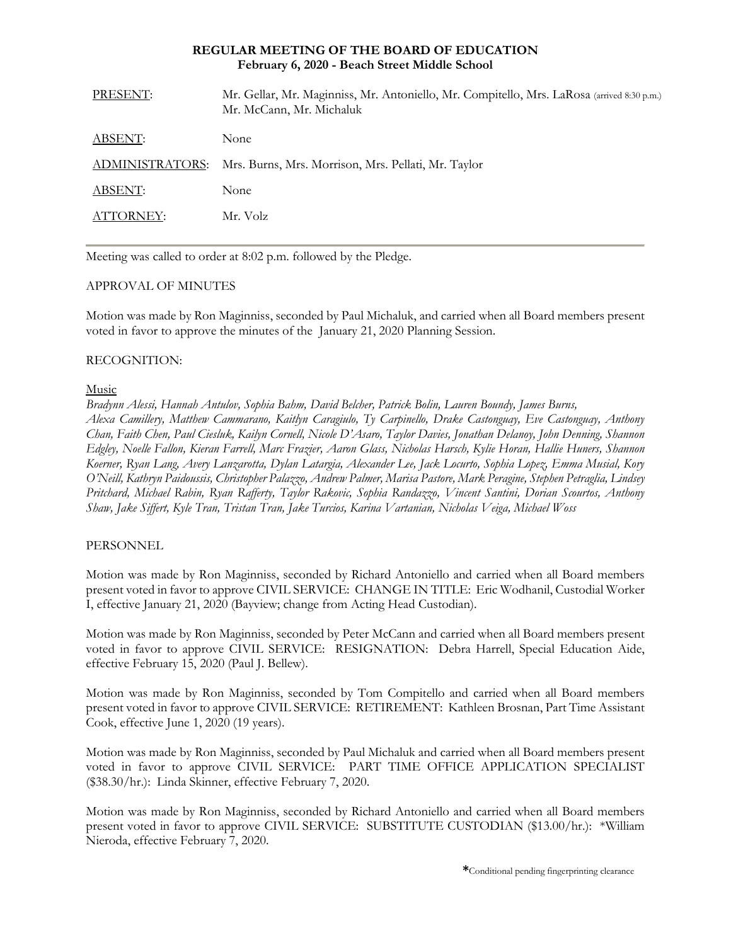### **REGULAR MEETING OF THE BOARD OF EDUCATION February 6, 2020 - Beach Street Middle School**

| PRESENT:        | Mr. Gellar, Mr. Maginniss, Mr. Antoniello, Mr. Compitello, Mrs. LaRosa (arrived 8:30 p.m.)<br>Mr. McCann, Mr. Michaluk |
|-----------------|------------------------------------------------------------------------------------------------------------------------|
| ABSENT:         | None                                                                                                                   |
| ADMINISTRATORS: | Mrs. Burns, Mrs. Morrison, Mrs. Pellati, Mr. Taylor                                                                    |
| ABSENT:         | None                                                                                                                   |
| ATTORNEY:       | Mr. Volz                                                                                                               |
|                 |                                                                                                                        |

Meeting was called to order at 8:02 p.m. followed by the Pledge.

## APPROVAL OF MINUTES

Motion was made by Ron Maginniss, seconded by Paul Michaluk, and carried when all Board members present voted in favor to approve the minutes of the January 21, 2020 Planning Session.

## RECOGNITION:

## Music

*Bradynn Alessi, Hannah Antulov, Sophia Bahm, David Belcher, Patrick Bolin, Lauren Boundy, James Burns, Alexa Camillery, Matthew Cammarano, Kaitlyn Caragiulo, Ty Carpinello, Drake Castonguay, Eve Castonguay, Anthony Chan, Faith Chen, Paul Ciesluk, Kailyn Cornell, Nicole D'Asaro, Taylor Davies, Jonathan Delanoy, John Denning, Shannon Edgley, Noelle Fallon, Kieran Farrell, Marc Frazier, Aaron Glass, Nicholas Harsch, Kylie Horan, Hallie Huners, Shannon Koerner, Ryan Lang, Avery Lanzarotta, Dylan Latargia, Alexander Lee, Jack Locurto, Sophia Lopez, Emma Musial, Kory O'Neill, Kathryn Paidoussis, Christopher Palazzo, Andrew Palmer, Marisa Pastore, Mark Peragine, Stephen Petraglia, Lindsey Pritchard, Michael Rabin, Ryan Rafferty, Taylor Rakovic, Sophia Randazzo, Vincent Santini, Dorian Scourtos, Anthony Shaw, Jake Siffert, Kyle Tran, Tristan Tran, Jake Turcios, Karina Vartanian, Nicholas Veiga, Michael Woss*

# PERSONNEL

Motion was made by Ron Maginniss, seconded by Richard Antoniello and carried when all Board members present voted in favor to approve CIVIL SERVICE:CHANGE IN TITLE: Eric Wodhanil, Custodial Worker I, effective January 21, 2020 (Bayview; change from Acting Head Custodian).

Motion was made by Ron Maginniss, seconded by Peter McCann and carried when all Board members present voted in favor to approve CIVIL SERVICE:RESIGNATION: Debra Harrell, Special Education Aide, effective February 15, 2020 (Paul J. Bellew).

Motion was made by Ron Maginniss, seconded by Tom Compitello and carried when all Board members present voted in favor to approve CIVIL SERVICE:RETIREMENT: Kathleen Brosnan, Part Time Assistant Cook, effective June 1, 2020 (19 years).

Motion was made by Ron Maginniss, seconded by Paul Michaluk and carried when all Board members present voted in favor to approve CIVIL SERVICE:PART TIME OFFICE APPLICATION SPECIALIST (\$38.30/hr.): Linda Skinner, effective February 7, 2020.

Motion was made by Ron Maginniss, seconded by Richard Antoniello and carried when all Board members present voted in favor to approve CIVIL SERVICE:SUBSTITUTE CUSTODIAN (\$13.00/hr.): \*William Nieroda, effective February 7, 2020.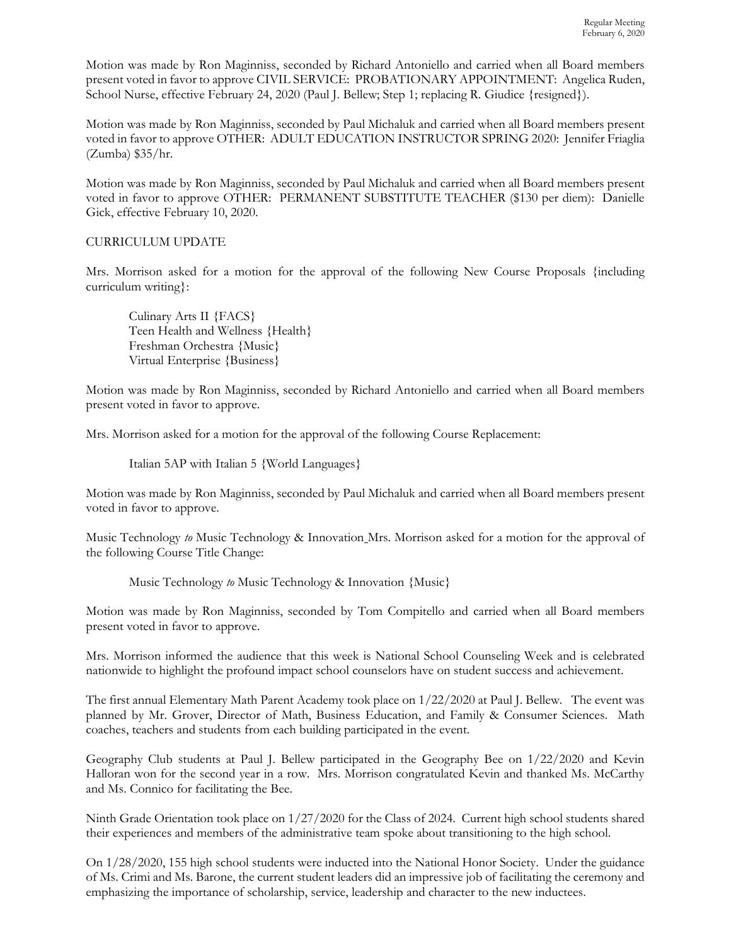Motion was made by Ron Maginniss, seconded by Richard Antoniello and carried when all Board members present voted in favor to approve CIVIL SERVICE: PROBATIONARY APPOINTMENT: Angelica Ruden, School Nurse, effective February 24, 2020 (Paul J. Bellew; Step 1; replacing R. Giudice {resigned}).

Motion was made by Ron Maginniss, seconded by Paul Michaluk and carried when all Board members present voted in favor to approve OTHER: ADULT EDUCATION INSTRUCTOR SPRING 2020: Jennifer Friaglia (Zumba) \$35/hr.

Motion was made by Ron Maginniss, seconded by Paul Michaluk and carried when all Board members present voted in favor to approve OTHER: PERMANENT SUBSTITUTE TEACHER (\$130 per diem): Danielle Gick, effective February 10, 2020.

## CURRICULUM UPDATE

Mrs. Morrison asked for a motion for the approval of the following New Course Proposals {including curriculum writing}:

Culinary Arts II {FACS} Teen Health and Wellness {Health} Freshman Orchestra {Music} Virtual Enterprise {Business}

Motion was made by Ron Maginniss, seconded by Richard Antoniello and carried when all Board members present voted in favor to approve.

Mrs. Morrison asked for a motion for the approval of the following Course Replacement:

Italian 5AP with Italian 5 {World Languages}

Motion was made by Ron Maginniss, seconded by Paul Michaluk and carried when all Board members present voted in favor to approve.

Music Technology *to* Music Technology & Innovation Mrs. Morrison asked for a motion for the approval of the following Course Title Change:

Music Technology *to* Music Technology & Innovation {Music}

Motion was made by Ron Maginniss, seconded by Tom Compitello and carried when all Board members present voted in favor to approve.

Mrs. Morrison informed the audience that this week is National School Counseling Week and is celebrated nationwide to highlight the profound impact school counselors have on student success and achievement.

The first annual Elementary Math Parent Academy took place on 1/22/2020 at Paul J. Bellew. The event was planned by Mr. Grover, Director of Math, Business Education, and Family & Consumer Sciences. Math coaches, teachers and students from each building participated in the event.

Geography Club students at Paul J. Bellew participated in the Geography Bee on 1/22/2020 and Kevin Halloran won for the second year in a row. Mrs. Morrison congratulated Kevin and thanked Ms. McCarthy and Ms. Connico for facilitating the Bee.

Ninth Grade Orientation took place on 1/27/2020 for the Class of 2024. Current high school students shared their experiences and members of the administrative team spoke about transitioning to the high school.

On 1/28/2020, 155 high school students were inducted into the National Honor Society. Under the guidance of Ms. Crimi and Ms. Barone, the current student leaders did an impressive job of facilitating the ceremony and emphasizing the importance of scholarship, service, leadership and character to the new inductees.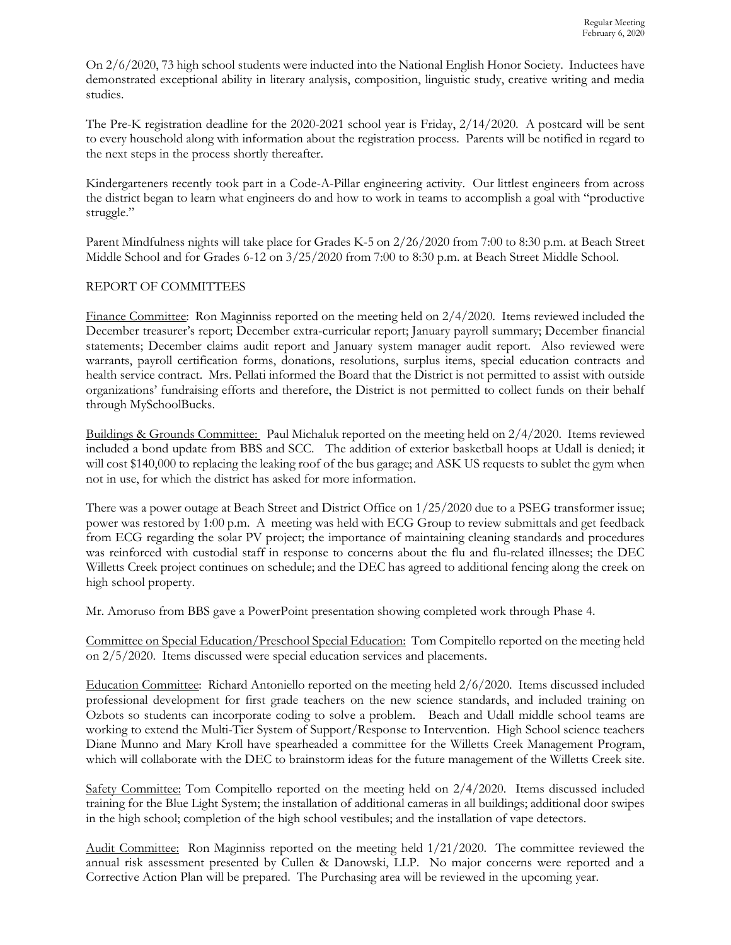On 2/6/2020, 73 high school students were inducted into the National English Honor Society. Inductees have demonstrated exceptional ability in literary analysis, composition, linguistic study, creative writing and media studies.

The Pre-K registration deadline for the 2020-2021 school year is Friday, 2/14/2020. A postcard will be sent to every household along with information about the registration process. Parents will be notified in regard to the next steps in the process shortly thereafter.

Kindergarteners recently took part in a Code-A-Pillar engineering activity. Our littlest engineers from across the district began to learn what engineers do and how to work in teams to accomplish a goal with "productive struggle."

Parent Mindfulness nights will take place for Grades K-5 on 2/26/2020 from 7:00 to 8:30 p.m. at Beach Street Middle School and for Grades 6-12 on 3/25/2020 from 7:00 to 8:30 p.m. at Beach Street Middle School.

# REPORT OF COMMITTEES

Finance Committee: Ron Maginniss reported on the meeting held on 2/4/2020. Items reviewed included the December treasurer's report; December extra-curricular report; January payroll summary; December financial statements; December claims audit report and January system manager audit report. Also reviewed were warrants, payroll certification forms, donations, resolutions, surplus items, special education contracts and health service contract. Mrs. Pellati informed the Board that the District is not permitted to assist with outside organizations' fundraising efforts and therefore, the District is not permitted to collect funds on their behalf through MySchoolBucks.

Buildings & Grounds Committee: Paul Michaluk reported on the meeting held on 2/4/2020. Items reviewed included a bond update from BBS and SCC. The addition of exterior basketball hoops at Udall is denied; it will cost \$140,000 to replacing the leaking roof of the bus garage; and ASK US requests to sublet the gym when not in use, for which the district has asked for more information.

There was a power outage at Beach Street and District Office on 1/25/2020 due to a PSEG transformer issue; power was restored by 1:00 p.m. A meeting was held with ECG Group to review submittals and get feedback from ECG regarding the solar PV project; the importance of maintaining cleaning standards and procedures was reinforced with custodial staff in response to concerns about the flu and flu-related illnesses; the DEC Willetts Creek project continues on schedule; and the DEC has agreed to additional fencing along the creek on high school property.

Mr. Amoruso from BBS gave a PowerPoint presentation showing completed work through Phase 4.

Committee on Special Education/Preschool Special Education: Tom Compitello reported on the meeting held on 2/5/2020. Items discussed were special education services and placements.

Education Committee: Richard Antoniello reported on the meeting held 2/6/2020. Items discussed included professional development for first grade teachers on the new science standards, and included training on Ozbots so students can incorporate coding to solve a problem. Beach and Udall middle school teams are working to extend the Multi-Tier System of Support/Response to Intervention. High School science teachers Diane Munno and Mary Kroll have spearheaded a committee for the Willetts Creek Management Program, which will collaborate with the DEC to brainstorm ideas for the future management of the Willetts Creek site.

Safety Committee: Tom Compitello reported on the meeting held on 2/4/2020. Items discussed included training for the Blue Light System; the installation of additional cameras in all buildings; additional door swipes in the high school; completion of the high school vestibules; and the installation of vape detectors.

Audit Committee: Ron Maginniss reported on the meeting held 1/21/2020. The committee reviewed the annual risk assessment presented by Cullen & Danowski, LLP. No major concerns were reported and a Corrective Action Plan will be prepared. The Purchasing area will be reviewed in the upcoming year.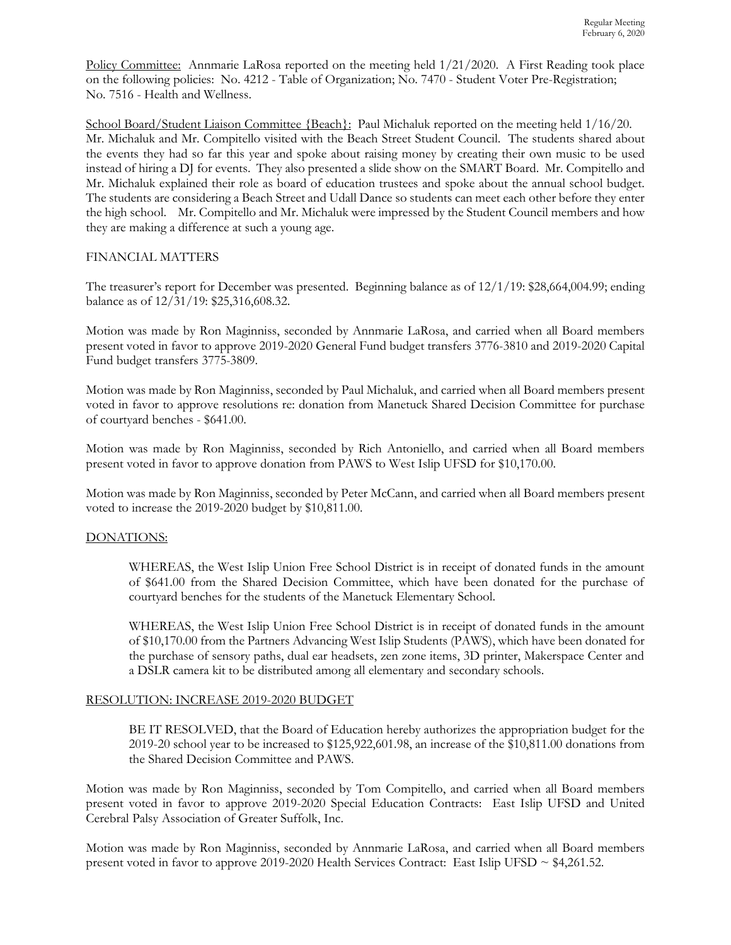Policy Committee: Annmarie LaRosa reported on the meeting held  $1/21/2020$ . A First Reading took place on the following policies: No. 4212 - Table of Organization; No. 7470 - Student Voter Pre-Registration; No. 7516 - Health and Wellness.

School Board/Student Liaison Committee {Beach}: Paul Michaluk reported on the meeting held  $1/16/20$ . Mr. Michaluk and Mr. Compitello visited with the Beach Street Student Council. The students shared about the events they had so far this year and spoke about raising money by creating their own music to be used instead of hiring a DJ for events. They also presented a slide show on the SMART Board. Mr. Compitello and Mr. Michaluk explained their role as board of education trustees and spoke about the annual school budget. The students are considering a Beach Street and Udall Dance so students can meet each other before they enter the high school. Mr. Compitello and Mr. Michaluk were impressed by the Student Council members and how they are making a difference at such a young age.

## FINANCIAL MATTERS

The treasurer's report for December was presented. Beginning balance as of 12/1/19: \$28,664,004.99; ending balance as of 12/31/19: \$25,316,608.32.

Motion was made by Ron Maginniss, seconded by Annmarie LaRosa, and carried when all Board members present voted in favor to approve 2019-2020 General Fund budget transfers 3776-3810 and 2019-2020 Capital Fund budget transfers 3775-3809.

Motion was made by Ron Maginniss, seconded by Paul Michaluk, and carried when all Board members present voted in favor to approve resolutions re: donation from Manetuck Shared Decision Committee for purchase of courtyard benches - \$641.00.

Motion was made by Ron Maginniss, seconded by Rich Antoniello, and carried when all Board members present voted in favor to approve donation from PAWS to West Islip UFSD for \$10,170.00.

Motion was made by Ron Maginniss, seconded by Peter McCann, and carried when all Board members present voted to increase the 2019-2020 budget by \$10,811.00.

#### DONATIONS:

WHEREAS, the West Islip Union Free School District is in receipt of donated funds in the amount of \$641.00 from the Shared Decision Committee, which have been donated for the purchase of courtyard benches for the students of the Manetuck Elementary School.

WHEREAS, the West Islip Union Free School District is in receipt of donated funds in the amount of \$10,170.00 from the Partners Advancing West Islip Students (PAWS), which have been donated for the purchase of sensory paths, dual ear headsets, zen zone items, 3D printer, Makerspace Center and a DSLR camera kit to be distributed among all elementary and secondary schools.

#### RESOLUTION: INCREASE 2019-2020 BUDGET

BE IT RESOLVED, that the Board of Education hereby authorizes the appropriation budget for the 2019-20 school year to be increased to \$125,922,601.98, an increase of the \$10,811.00 donations from the Shared Decision Committee and PAWS.

Motion was made by Ron Maginniss, seconded by Tom Compitello, and carried when all Board members present voted in favor to approve 2019-2020 Special Education Contracts: East Islip UFSD and United Cerebral Palsy Association of Greater Suffolk, Inc.

Motion was made by Ron Maginniss, seconded by Annmarie LaRosa, and carried when all Board members present voted in favor to approve 2019-2020 Health Services Contract: East Islip UFSD ~ \$4,261.52.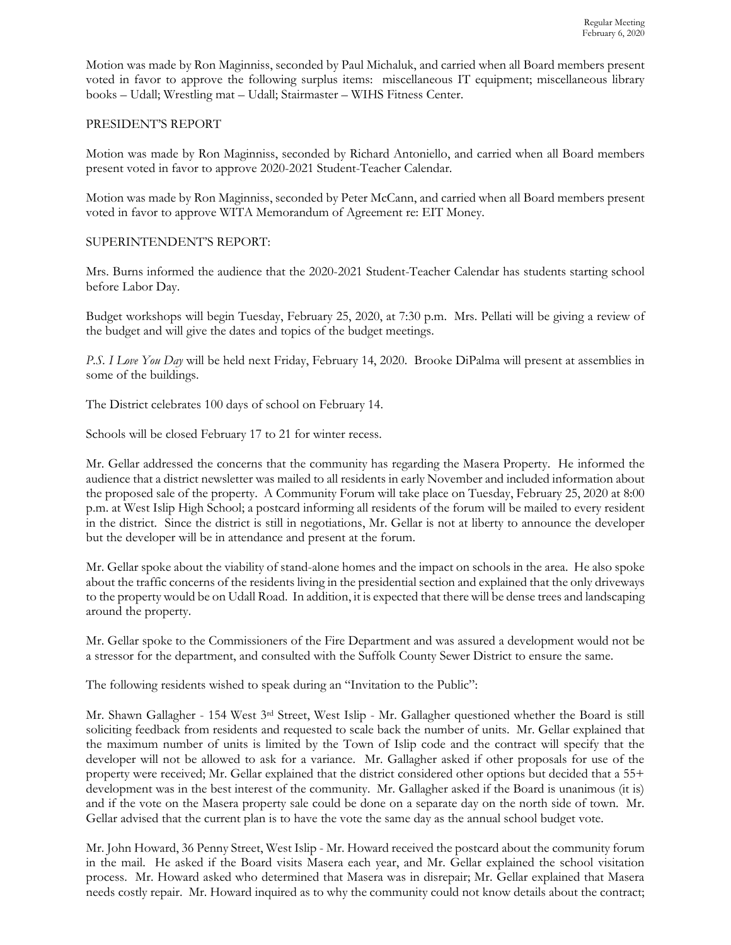Motion was made by Ron Maginniss, seconded by Paul Michaluk, and carried when all Board members present voted in favor to approve the following surplus items: miscellaneous IT equipment; miscellaneous library books – Udall; Wrestling mat – Udall; Stairmaster – WIHS Fitness Center.

### PRESIDENT'S REPORT

Motion was made by Ron Maginniss, seconded by Richard Antoniello, and carried when all Board members present voted in favor to approve 2020-2021 Student-Teacher Calendar.

Motion was made by Ron Maginniss, seconded by Peter McCann, and carried when all Board members present voted in favor to approve WITA Memorandum of Agreement re: EIT Money.

## SUPERINTENDENT'S REPORT:

Mrs. Burns informed the audience that the 2020-2021 Student-Teacher Calendar has students starting school before Labor Day.

Budget workshops will begin Tuesday, February 25, 2020, at 7:30 p.m. Mrs. Pellati will be giving a review of the budget and will give the dates and topics of the budget meetings.

*P.S. I Love You Day* will be held next Friday, February 14, 2020. Brooke DiPalma will present at assemblies in some of the buildings.

The District celebrates 100 days of school on February 14.

Schools will be closed February 17 to 21 for winter recess.

Mr. Gellar addressed the concerns that the community has regarding the Masera Property. He informed the audience that a district newsletter was mailed to all residents in early November and included information about the proposed sale of the property. A Community Forum will take place on Tuesday, February 25, 2020 at 8:00 p.m. at West Islip High School; a postcard informing all residents of the forum will be mailed to every resident in the district. Since the district is still in negotiations, Mr. Gellar is not at liberty to announce the developer but the developer will be in attendance and present at the forum.

Mr. Gellar spoke about the viability of stand-alone homes and the impact on schools in the area. He also spoke about the traffic concerns of the residents living in the presidential section and explained that the only driveways to the property would be on Udall Road. In addition, it is expected that there will be dense trees and landscaping around the property.

Mr. Gellar spoke to the Commissioners of the Fire Department and was assured a development would not be a stressor for the department, and consulted with the Suffolk County Sewer District to ensure the same.

The following residents wished to speak during an "Invitation to the Public":

Mr. Shawn Gallagher - 154 West 3rd Street, West Islip - Mr. Gallagher questioned whether the Board is still soliciting feedback from residents and requested to scale back the number of units. Mr. Gellar explained that the maximum number of units is limited by the Town of Islip code and the contract will specify that the developer will not be allowed to ask for a variance. Mr. Gallagher asked if other proposals for use of the property were received; Mr. Gellar explained that the district considered other options but decided that a 55+ development was in the best interest of the community. Mr. Gallagher asked if the Board is unanimous (it is) and if the vote on the Masera property sale could be done on a separate day on the north side of town. Mr. Gellar advised that the current plan is to have the vote the same day as the annual school budget vote.

Mr. John Howard, 36 Penny Street, West Islip - Mr. Howard received the postcard about the community forum in the mail. He asked if the Board visits Masera each year, and Mr. Gellar explained the school visitation process. Mr. Howard asked who determined that Masera was in disrepair; Mr. Gellar explained that Masera needs costly repair. Mr. Howard inquired as to why the community could not know details about the contract;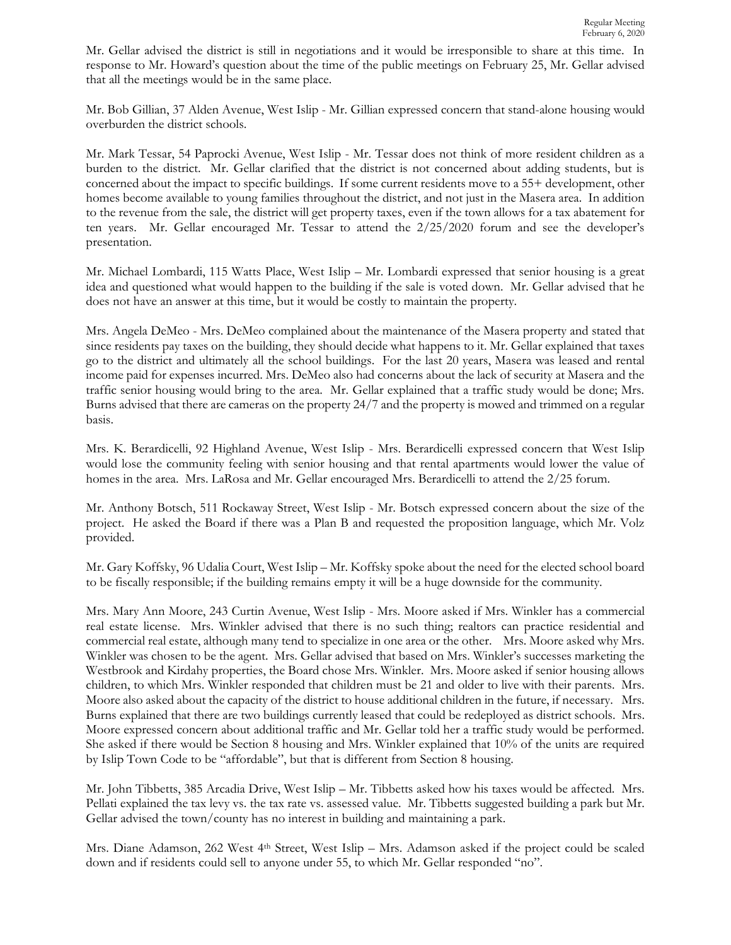Mr. Gellar advised the district is still in negotiations and it would be irresponsible to share at this time. In response to Mr. Howard's question about the time of the public meetings on February 25, Mr. Gellar advised that all the meetings would be in the same place.

Mr. Bob Gillian, 37 Alden Avenue, West Islip - Mr. Gillian expressed concern that stand-alone housing would overburden the district schools.

Mr. Mark Tessar, 54 Paprocki Avenue, West Islip - Mr. Tessar does not think of more resident children as a burden to the district. Mr. Gellar clarified that the district is not concerned about adding students, but is concerned about the impact to specific buildings. If some current residents move to a 55+ development, other homes become available to young families throughout the district, and not just in the Masera area. In addition to the revenue from the sale, the district will get property taxes, even if the town allows for a tax abatement for ten years. Mr. Gellar encouraged Mr. Tessar to attend the 2/25/2020 forum and see the developer's presentation.

Mr. Michael Lombardi, 115 Watts Place, West Islip – Mr. Lombardi expressed that senior housing is a great idea and questioned what would happen to the building if the sale is voted down. Mr. Gellar advised that he does not have an answer at this time, but it would be costly to maintain the property.

Mrs. Angela DeMeo - Mrs. DeMeo complained about the maintenance of the Masera property and stated that since residents pay taxes on the building, they should decide what happens to it. Mr. Gellar explained that taxes go to the district and ultimately all the school buildings. For the last 20 years, Masera was leased and rental income paid for expenses incurred. Mrs. DeMeo also had concerns about the lack of security at Masera and the traffic senior housing would bring to the area. Mr. Gellar explained that a traffic study would be done; Mrs. Burns advised that there are cameras on the property 24/7 and the property is mowed and trimmed on a regular basis.

Mrs. K. Berardicelli, 92 Highland Avenue, West Islip - Mrs. Berardicelli expressed concern that West Islip would lose the community feeling with senior housing and that rental apartments would lower the value of homes in the area. Mrs. LaRosa and Mr. Gellar encouraged Mrs. Berardicelli to attend the 2/25 forum.

Mr. Anthony Botsch, 511 Rockaway Street, West Islip - Mr. Botsch expressed concern about the size of the project. He asked the Board if there was a Plan B and requested the proposition language, which Mr. Volz provided.

Mr. Gary Koffsky, 96 Udalia Court, West Islip – Mr. Koffsky spoke about the need for the elected school board to be fiscally responsible; if the building remains empty it will be a huge downside for the community.

Mrs. Mary Ann Moore, 243 Curtin Avenue, West Islip - Mrs. Moore asked if Mrs. Winkler has a commercial real estate license. Mrs. Winkler advised that there is no such thing; realtors can practice residential and commercial real estate, although many tend to specialize in one area or the other. Mrs. Moore asked why Mrs. Winkler was chosen to be the agent. Mrs. Gellar advised that based on Mrs. Winkler's successes marketing the Westbrook and Kirdahy properties, the Board chose Mrs. Winkler. Mrs. Moore asked if senior housing allows children, to which Mrs. Winkler responded that children must be 21 and older to live with their parents. Mrs. Moore also asked about the capacity of the district to house additional children in the future, if necessary. Mrs. Burns explained that there are two buildings currently leased that could be redeployed as district schools. Mrs. Moore expressed concern about additional traffic and Mr. Gellar told her a traffic study would be performed. She asked if there would be Section 8 housing and Mrs. Winkler explained that 10% of the units are required by Islip Town Code to be "affordable", but that is different from Section 8 housing.

Mr. John Tibbetts, 385 Arcadia Drive, West Islip – Mr. Tibbetts asked how his taxes would be affected. Mrs. Pellati explained the tax levy vs. the tax rate vs. assessed value. Mr. Tibbetts suggested building a park but Mr. Gellar advised the town/county has no interest in building and maintaining a park.

Mrs. Diane Adamson, 262 West 4<sup>th</sup> Street, West Islip – Mrs. Adamson asked if the project could be scaled down and if residents could sell to anyone under 55, to which Mr. Gellar responded "no".